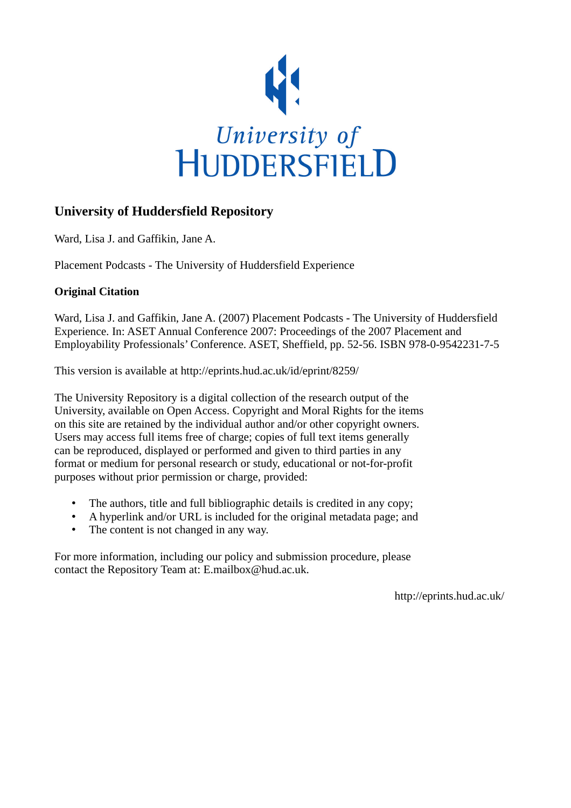

# **University of Huddersfield Repository**

Ward, Lisa J. and Gaffikin, Jane A.

Placement Podcasts - The University of Huddersfield Experience

## **Original Citation**

Ward, Lisa J. and Gaffikin, Jane A. (2007) Placement Podcasts - The University of Huddersfield Experience. In: ASET Annual Conference 2007: Proceedings of the 2007 Placement and Employability Professionals' Conference. ASET, Sheffield, pp. 52-56. ISBN 978-0-9542231-7-5

This version is available at http://eprints.hud.ac.uk/id/eprint/8259/

The University Repository is a digital collection of the research output of the University, available on Open Access. Copyright and Moral Rights for the items on this site are retained by the individual author and/or other copyright owners. Users may access full items free of charge; copies of full text items generally can be reproduced, displayed or performed and given to third parties in any format or medium for personal research or study, educational or not-for-profit purposes without prior permission or charge, provided:

- The authors, title and full bibliographic details is credited in any copy;
- A hyperlink and/or URL is included for the original metadata page; and
- The content is not changed in any way.

For more information, including our policy and submission procedure, please contact the Repository Team at: E.mailbox@hud.ac.uk.

http://eprints.hud.ac.uk/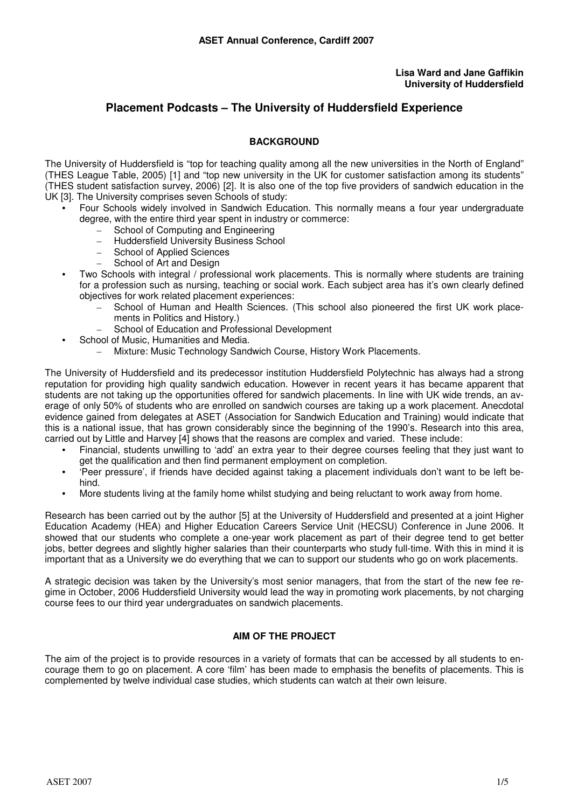#### **Lisa Ward and Jane Gaffikin University of Huddersfield**

## **Placement Podcasts – The University of Huddersfield Experience**

### **BACKGROUND**

The University of Huddersfield is "top for teaching quality among all the new universities in the North of England" (THES League Table, 2005) [1] and "top new university in the UK for customer satisfaction among its students" (THES student satisfaction survey, 2006) [2]. It is also one of the top five providers of sandwich education in the UK [3]. The University comprises seven Schools of study:

- Four Schools widely involved in Sandwich Education. This normally means a four year undergraduate degree, with the entire third year spent in industry or commerce:
	- School of Computing and Engineering
	- Huddersfield University Business School
	- School of Applied Sciences
	- School of Art and Design
- Two Schools with integral / professional work placements. This is normally where students are training for a profession such as nursing, teaching or social work. Each subject area has it's own clearly defined objectives for work related placement experiences:
	- School of Human and Health Sciences. (This school also pioneered the first UK work placements in Politics and History.)
	- School of Education and Professional Development
	- School of Music, Humanities and Media.
		- Mixture: Music Technology Sandwich Course, History Work Placements.

The University of Huddersfield and its predecessor institution Huddersfield Polytechnic has always had a strong reputation for providing high quality sandwich education. However in recent years it has became apparent that students are not taking up the opportunities offered for sandwich placements. In line with UK wide trends, an average of only 50% of students who are enrolled on sandwich courses are taking up a work placement. Anecdotal evidence gained from delegates at ASET (Association for Sandwich Education and Training) would indicate that this is a national issue, that has grown considerably since the beginning of the 1990's. Research into this area, carried out by Little and Harvey [4] shows that the reasons are complex and varied. These include:

- Financial, students unwilling to 'add' an extra year to their degree courses feeling that they just want to get the qualification and then find permanent employment on completion.
- 'Peer pressure', if friends have decided against taking a placement individuals don't want to be left behind.
- More students living at the family home whilst studying and being reluctant to work away from home.

Research has been carried out by the author [5] at the University of Huddersfield and presented at a joint Higher Education Academy (HEA) and Higher Education Careers Service Unit (HECSU) Conference in June 2006. It showed that our students who complete a one-year work placement as part of their degree tend to get better jobs, better degrees and slightly higher salaries than their counterparts who study full-time. With this in mind it is important that as a University we do everything that we can to support our students who go on work placements.

A strategic decision was taken by the University's most senior managers, that from the start of the new fee regime in October, 2006 Huddersfield University would lead the way in promoting work placements, by not charging course fees to our third year undergraduates on sandwich placements.

## **AIM OF THE PROJECT**

The aim of the project is to provide resources in a variety of formats that can be accessed by all students to encourage them to go on placement. A core 'film' has been made to emphasis the benefits of placements. This is complemented by twelve individual case studies, which students can watch at their own leisure.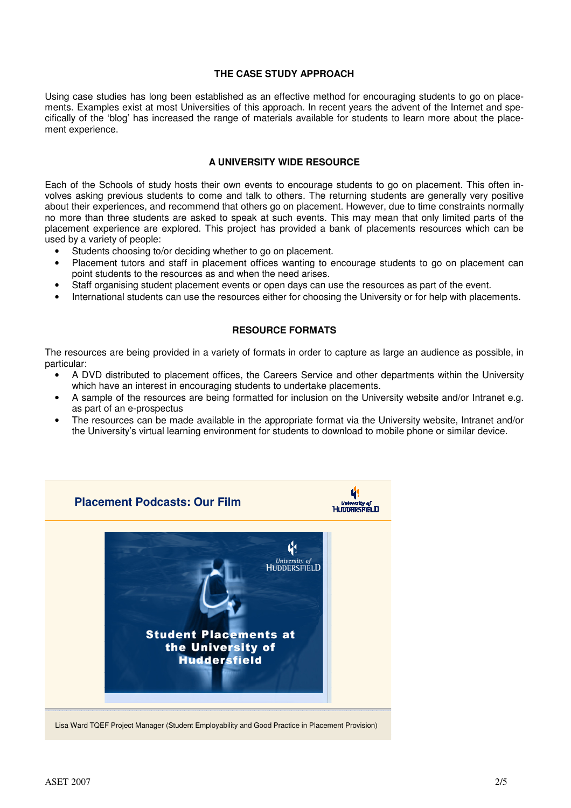#### **THE CASE STUDY APPROACH**

Using case studies has long been established as an effective method for encouraging students to go on placements. Examples exist at most Universities of this approach. In recent years the advent of the Internet and specifically of the 'blog' has increased the range of materials available for students to learn more about the placement experience.

#### **A UNIVERSITY WIDE RESOURCE**

Each of the Schools of study hosts their own events to encourage students to go on placement. This often involves asking previous students to come and talk to others. The returning students are generally very positive about their experiences, and recommend that others go on placement. However, due to time constraints normally no more than three students are asked to speak at such events. This may mean that only limited parts of the placement experience are explored. This project has provided a bank of placements resources which can be used by a variety of people:

- Students choosing to/or deciding whether to go on placement.
- Placement tutors and staff in placement offices wanting to encourage students to go on placement can point students to the resources as and when the need arises.
- Staff organising student placement events or open days can use the resources as part of the event.
- International students can use the resources either for choosing the University or for help with placements.

#### **RESOURCE FORMATS**

The resources are being provided in a variety of formats in order to capture as large an audience as possible, in particular:

- A DVD distributed to placement offices, the Careers Service and other departments within the University which have an interest in encouraging students to undertake placements.
- A sample of the resources are being formatted for inclusion on the University website and/or Intranet e.g. as part of an e-prospectus
- The resources can be made available in the appropriate format via the University website, Intranet and/or the University's virtual learning environment for students to download to mobile phone or similar device.

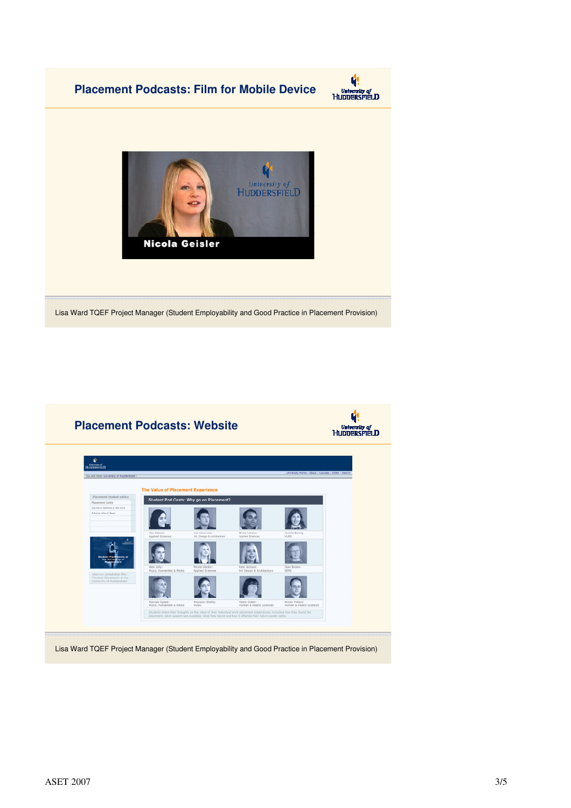





Lisa Ward TQEF Project Manager (Student Employability and Good Practice in Placement Provision)



Lisa Ward TQEF Project Manager (Student Employability and Good Practice in Placement Provision)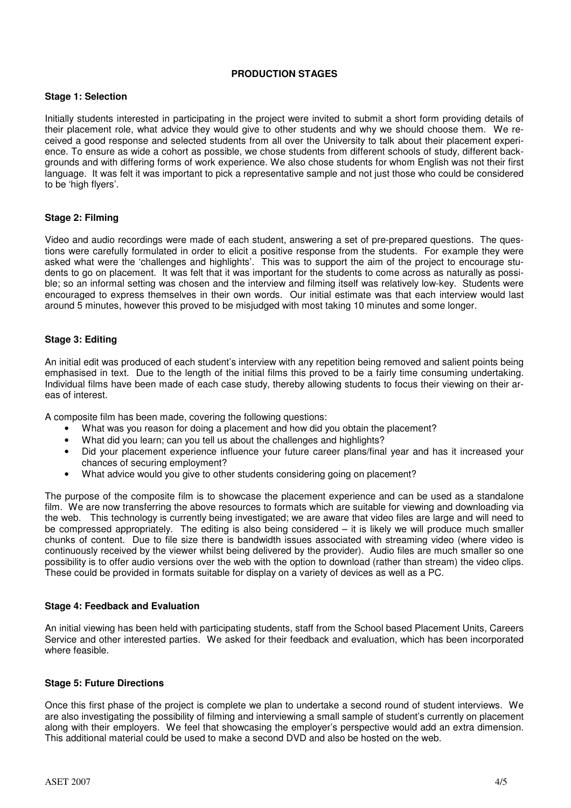### **PRODUCTION STAGES**

#### **Stage 1: Selection**

Initially students interested in participating in the project were invited to submit a short form providing details of their placement role, what advice they would give to other students and why we should choose them. We received a good response and selected students from all over the University to talk about their placement experience. To ensure as wide a cohort as possible, we chose students from different schools of study, different backgrounds and with differing forms of work experience. We also chose students for whom English was not their first language. It was felt it was important to pick a representative sample and not just those who could be considered to be 'high flyers'.

### **Stage 2: Filming**

Video and audio recordings were made of each student, answering a set of pre-prepared questions. The questions were carefully formulated in order to elicit a positive response from the students. For example they were asked what were the 'challenges and highlights'. This was to support the aim of the project to encourage students to go on placement. It was felt that it was important for the students to come across as naturally as possible; so an informal setting was chosen and the interview and filming itself was relatively low-key. Students were encouraged to express themselves in their own words. Our initial estimate was that each interview would last around 5 minutes, however this proved to be misjudged with most taking 10 minutes and some longer.

### **Stage 3: Editing**

An initial edit was produced of each student's interview with any repetition being removed and salient points being emphasised in text. Due to the length of the initial films this proved to be a fairly time consuming undertaking. Individual films have been made of each case study, thereby allowing students to focus their viewing on their areas of interest.

A composite film has been made, covering the following questions:

- What was you reason for doing a placement and how did you obtain the placement?
- What did you learn; can you tell us about the challenges and highlights?
- Did your placement experience influence your future career plans/final year and has it increased your chances of securing employment?
- What advice would you give to other students considering going on placement?

The purpose of the composite film is to showcase the placement experience and can be used as a standalone film. We are now transferring the above resources to formats which are suitable for viewing and downloading via the web. This technology is currently being investigated; we are aware that video files are large and will need to be compressed appropriately. The editing is also being considered – it is likely we will produce much smaller chunks of content. Due to file size there is bandwidth issues associated with streaming video (where video is continuously received by the viewer whilst being delivered by the provider). Audio files are much smaller so one possibility is to offer audio versions over the web with the option to download (rather than stream) the video clips. These could be provided in formats suitable for display on a variety of devices as well as a PC.

### **Stage 4: Feedback and Evaluation**

An initial viewing has been held with participating students, staff from the School based Placement Units, Careers Service and other interested parties. We asked for their feedback and evaluation, which has been incorporated where feasible.

### **Stage 5: Future Directions**

Once this first phase of the project is complete we plan to undertake a second round of student interviews. We are also investigating the possibility of filming and interviewing a small sample of student's currently on placement along with their employers. We feel that showcasing the employer's perspective would add an extra dimension. This additional material could be used to make a second DVD and also be hosted on the web.